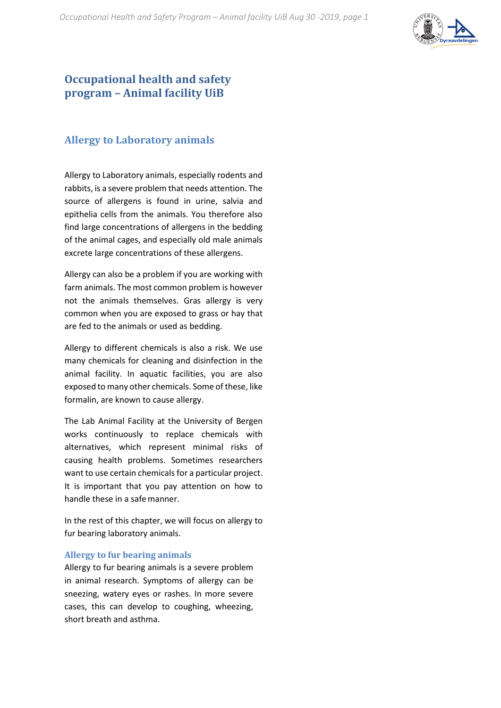

## **Occupational health and safety program – Animal facility UiB**

### **Allergy to Laboratory animals**

Allergy to Laboratory animals, especially rodents and rabbits, is a severe problem that needs attention. The source of allergens is found in urine, salvia and epithelia cells from the animals. You therefore also find large concentrations of allergens in the bedding of the animal cages, and especially old male animals excrete large concentrations of these allergens.

Allergy can also be a problem if you are working with farm animals. The most common problem is however not the animals themselves. Gras allergy is very common when you are exposed to grass or hay that are fed to the animals or used as bedding.

Allergy to different chemicals is also a risk. We use many chemicals for cleaning and disinfection in the animal facility. In aquatic facilities, you are also exposed to many other chemicals. Some of these, like formalin, are known to cause allergy.

The Lab Animal Facility at the University of Bergen works continuously to replace chemicals with alternatives, which represent minimal risks of causing health problems. Sometimes researchers want to use certain chemicals for a particular project. It is important that you pay attention on how to handle these in a safemanner.

In the rest of this chapter, we will focus on allergy to fur bearing laboratory animals.

#### **Allergy to fur bearing animals**

Allergy to fur bearing animals is a severe problem in animal research. Symptoms of allergy can be sneezing, watery eyes or rashes. In more severe cases, this can develop to coughing, wheezing, short breath and asthma.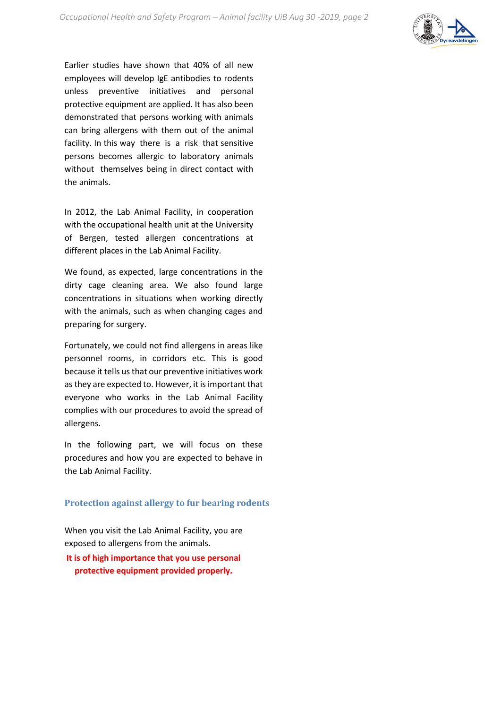

Earlier studies have shown that 40% of all new employees will develop IgE antibodies to rodents unless preventive initiatives and personal protective equipment are applied. It has also been demonstrated that persons working with animals can bring allergens with them out of the animal facility. In this way there is a risk that sensitive persons becomes allergic to laboratory animals without themselves being in direct contact with the animals.

In 2012, the Lab Animal Facility, in cooperation with the occupational health unit at the University of Bergen, tested allergen concentrations at different places in the Lab Animal Facility.

We found, as expected, large concentrations in the dirty cage cleaning area. We also found large concentrations in situations when working directly with the animals, such as when changing cages and preparing for surgery.

Fortunately, we could not find allergens in areas like personnel rooms, in corridors etc. This is good because it tells us that our preventive initiatives work as they are expected to. However, it is important that everyone who works in the Lab Animal Facility complies with our procedures to avoid the spread of allergens.

In the following part, we will focus on these procedures and how you are expected to behave in the Lab Animal Facility.

#### **Protection against allergy to fur bearing rodents**

When you visit the Lab Animal Facility, you are exposed to allergens from the animals.

**It is of high importance that you use personal protective equipment provided properly.**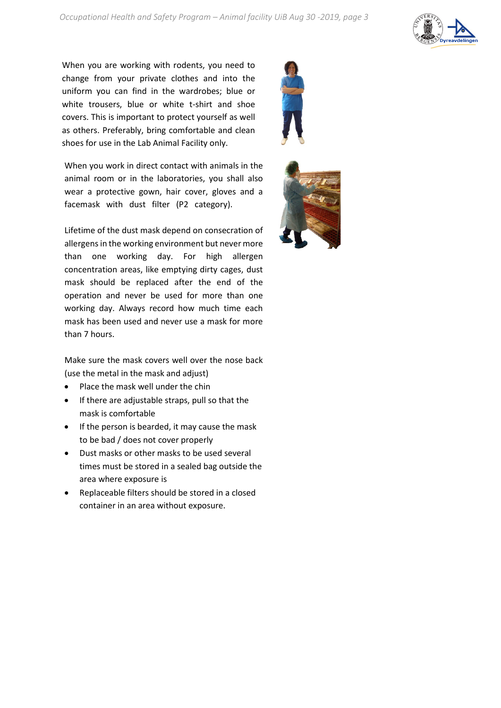

When you are working with rodents, you need to change from your private clothes and into the uniform you can find in the wardrobes; blue or white trousers, blue or white t-shirt and shoe covers. This is important to protect yourself as well as others. Preferably, bring comfortable and clean shoes for use in the Lab Animal Facility only.

When you work in direct contact with animals in the animal room or in the laboratories, you shall also wear a protective gown, hair cover, gloves and a facemask with dust filter (P2 category).

Lifetime of the dust mask depend on consecration of allergens in the working environment but never more than one working day. For high allergen concentration areas, like emptying dirty cages, dust mask should be replaced after the end of the operation and never be used for more than one working day. Always record how much time each mask has been used and never use a mask for more than 7 hours.

Make sure the mask covers well over the nose back (use the metal in the mask and adjust)

- Place the mask well under the chin
- If there are adjustable straps, pull so that the mask is comfortable
- If the person is bearded, it may cause the mask to be bad / does not cover properly
- Dust masks or other masks to be used several times must be stored in a sealed bag outside the area where exposure is
- Replaceable filters should be stored in a closed container in an area without exposure.

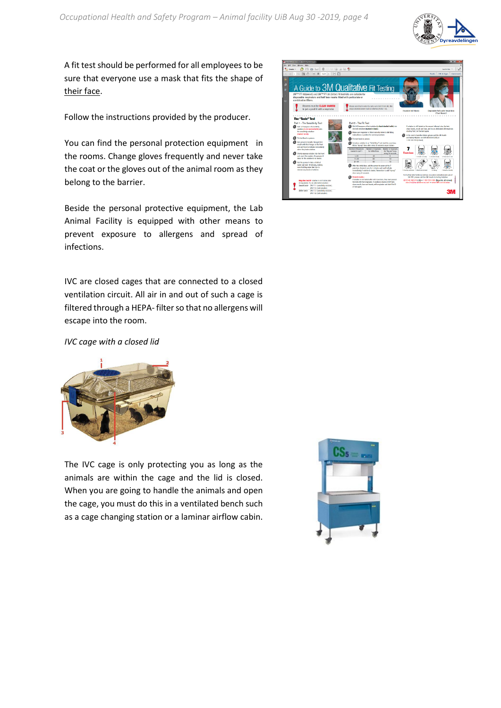

A fit test should be performed for all employees to be sure that everyone use a mask that fits the shape of their face.

Follow the instructions provided by the producer.

You can find the personal protection equipment in the rooms. Change gloves frequently and never take the coat or the gloves out of the animal room as they belong to the barrier.

Beside the personal protective equipment, the Lab Animal Facility is equipped with other means to prevent exposure to allergens and spread of infections.

IVC are closed cages that are connected to a closed ventilation circuit. All air in and out of such a cage is filtered through a HEPA- filter so that no allergens will escape into the room.



*IVC cage with a closed lid*



The IVC cage is only protecting you as long as the animals are within the cage and the lid is closed. When you are going to handle the animals and open the cage, you must do this in a ventilated bench such as a cage changing station or a laminar airflow cabin.

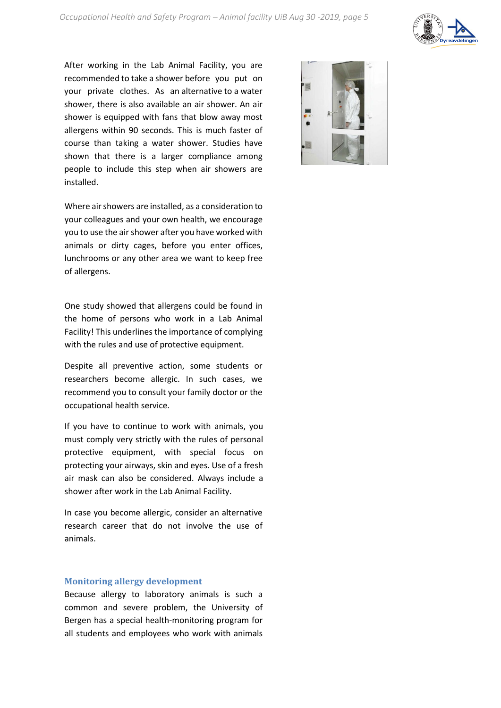

After working in the Lab Animal Facility, you are recommended to take a shower before you put on your private clothes. As an alternative to a water shower, there is also available an air shower. An air shower is equipped with fans that blow away most allergens within 90 seconds. This is much faster of course than taking a water shower. Studies have shown that there is a larger compliance among people to include this step when air showers are installed.

Where air showers are installed, as a consideration to your colleagues and your own health, we encourage you to use the air shower after you have worked with animals or dirty cages, before you enter offices, lunchrooms or any other area we want to keep free of allergens.

One study showed that allergens could be found in the home of persons who work in a Lab Animal Facility! This underlines the importance of complying with the rules and use of protective equipment.

Despite all preventive action, some students or researchers become allergic. In such cases, we recommend you to consult your family doctor or the occupational health service.

If you have to continue to work with animals, you must comply very strictly with the rules of personal protective equipment, with special focus on protecting your airways, skin and eyes. Use of a fresh air mask can also be considered. Always include a shower after work in the Lab Animal Facility.

In case you become allergic, consider an alternative research career that do not involve the use of animals.

#### **Monitoring allergy development**

Because allergy to laboratory animals is such a common and severe problem, the University of Bergen has a special health-monitoring program for all students and employees who work with animals

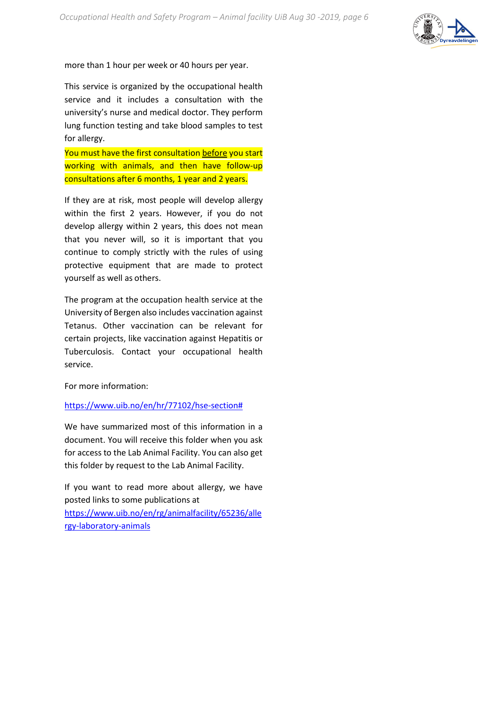

more than 1 hour per week or 40 hours per year.

This service is organized by the occupational health service and it includes a consultation with the university's nurse and medical doctor. They perform lung function testing and take blood samples to test for allergy.

You must have the first consultation before you start working with animals, and then have follow-up consultations after 6 months, 1 year and 2 years.

If they are at risk, most people will develop allergy within the first 2 years. However, if you do not develop allergy within 2 years, this does not mean that you never will, so it is important that you continue to comply strictly with the rules of using protective equipment that are made to protect yourself as well as others.

The program at the occupation health service at the University of Bergen also includes vaccination against Tetanus. Other vaccination can be relevant for certain projects, like vaccination against Hepatitis or Tuberculosis. Contact your occupational health service.

For more information:

#### [https://www.uib.no/en/hr/77102/hse-section#](https://www.uib.no/en/hr/77102/hse-section)

We have summarized most of this information in a document. You will receive this folder when you ask for access to the Lab Animal Facility. You can also get this folder by request to the Lab Animal Facility.

If you want to read more about allergy, we have posted links to some publications at [https://www.uib.no/en/rg/animalfacility/65236/alle](https://www.uib.no/en/rg/animalfacility/65236/allergy-laboratory-animals) [rgy-laboratory-animals](https://www.uib.no/en/rg/animalfacility/65236/allergy-laboratory-animals)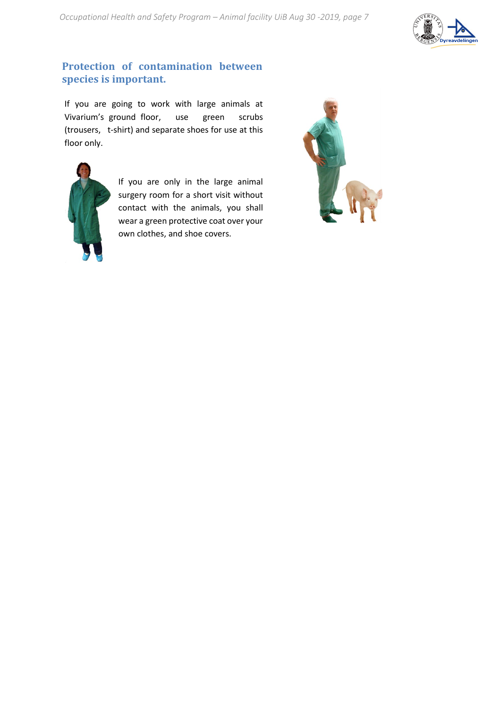

### **Protection of contamination between species is important.**

If you are going to work with large animals at Vivarium's ground floor, use green scrubs (trousers, t-shirt) and separate shoes for use at this floor only.



If you are only in the large animal surgery room for a short visit without contact with the animals, you shall wear a green protective coat over your own clothes, and shoe covers.

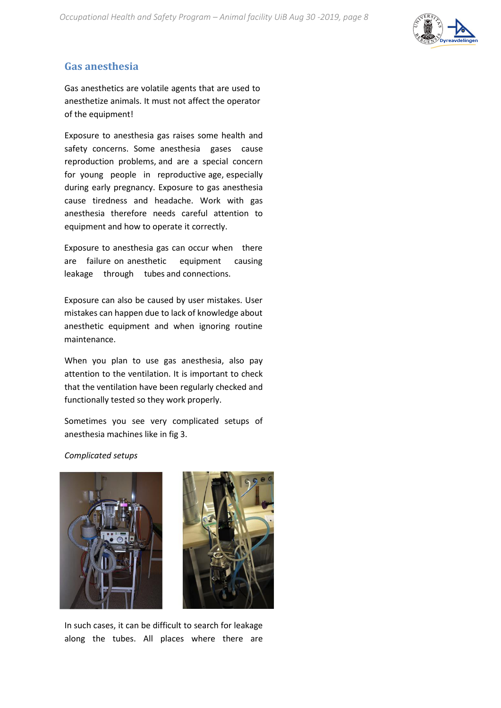*Occupational Health and Safety Program – Animal facility UiB Aug 30 -2019, page 8* 



### **Gas anesthesia**

Gas anesthetics are volatile agents that are used to anesthetize animals. It must not affect the operator of the equipment!

Exposure to anesthesia gas raises some health and safety concerns. Some anesthesia gases cause reproduction problems, and are a special concern for young people in reproductive age, especially during early pregnancy. Exposure to gas anesthesia cause tiredness and headache. Work with gas anesthesia therefore needs careful attention to equipment and how to operate it correctly.

Exposure to anesthesia gas can occur when there are failure on anesthetic equipment causing leakage through tubes and connections.

Exposure can also be caused by user mistakes. User mistakes can happen due to lack of knowledge about anesthetic equipment and when ignoring routine maintenance.

When you plan to use gas anesthesia, also pay attention to the ventilation. It is important to check that the ventilation have been regularly checked and functionally tested so they work properly.

Sometimes you see very complicated setups of anesthesia machines like in fig 3.

*Complicated setups*





In such cases, it can be difficult to search for leakage along the tubes. All places where there are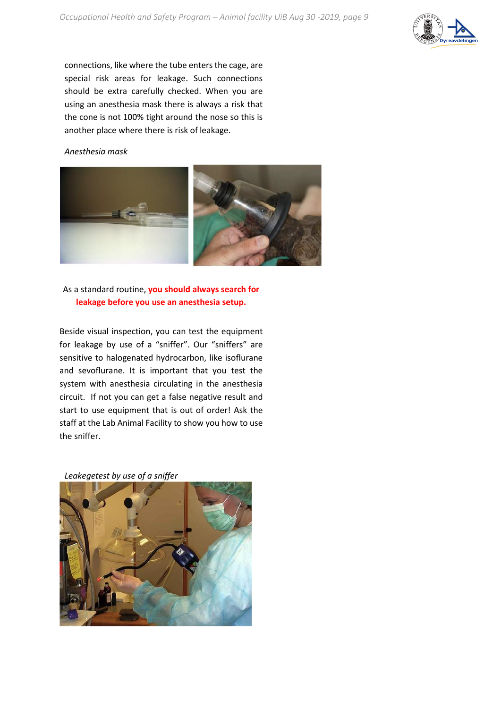

connections, like where the tube enters the cage, are special risk areas for leakage. Such connections should be extra carefully checked. When you are using an anesthesia mask there is always a risk that the cone is not 100% tight around the nose so this is another place where there is risk of leakage.

#### *Anesthesia mask*



### As a standard routine, **you should always search for leakage before you use an anesthesia setup.**

Beside visual inspection, you can test the equipment for leakage by use of a "sniffer". Our "sniffers" are sensitive to halogenated hydrocarbon, like isoflurane and sevoflurane. It is important that you test the system with anesthesia circulating in the anesthesia circuit. If not you can get a false negative result and start to use equipment that is out of order! Ask the staff at the Lab Animal Facility to show you how to use the sniffer.

*Leakegetest by use of a sniffer*

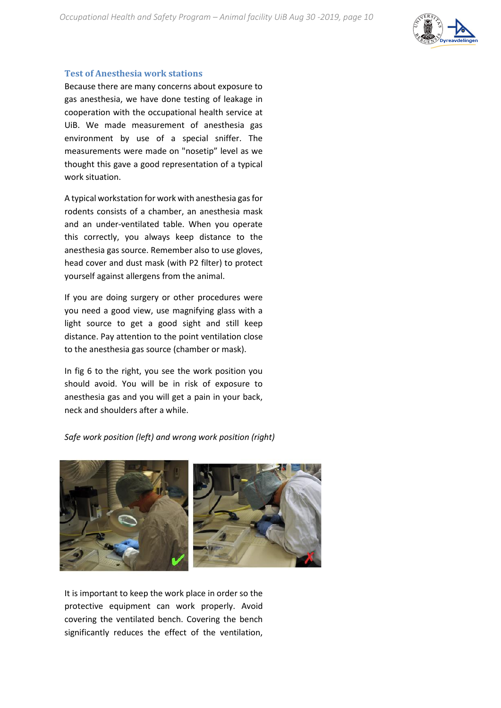

#### **Test of Anesthesia work stations**

Because there are many concerns about exposure to gas anesthesia, we have done testing of leakage in cooperation with the occupational health service at UiB. We made measurement of anesthesia gas environment by use of a special sniffer. The measurements were made on "nosetip" level as we thought this gave a good representation of a typical work situation.

A typical workstation for work with anesthesia gas for rodents consists of a chamber, an anesthesia mask and an under-ventilated table. When you operate this correctly, you always keep distance to the anesthesia gas source. Remember also to use gloves, head cover and dust mask (with P2 filter) to protect yourself against allergens from the animal.

If you are doing surgery or other procedures were you need a good view, use magnifying glass with a light source to get a good sight and still keep distance. Pay attention to the point ventilation close to the anesthesia gas source (chamber or mask).

In fig 6 to the right, you see the work position you should avoid. You will be in risk of exposure to anesthesia gas and you will get a pain in your back, neck and shoulders after a while.

*Safe work position (left) and wrong work position (right)*



It is important to keep the work place in order so the protective equipment can work properly. Avoid covering the ventilated bench. Covering the bench significantly reduces the effect of the ventilation,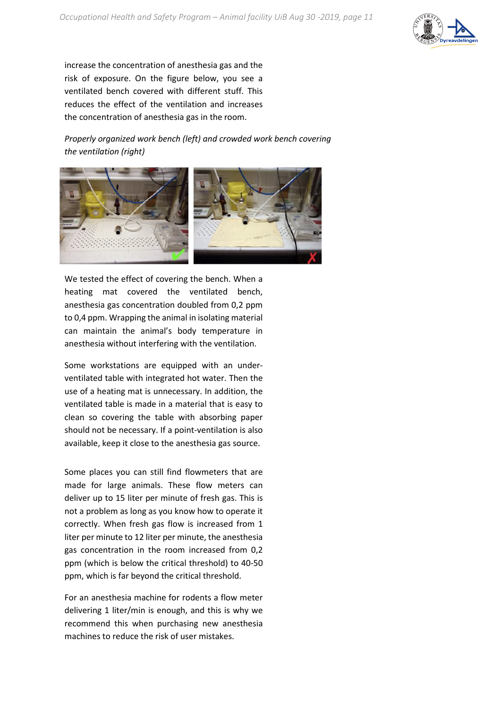

increase the concentration of anesthesia gas and the risk of exposure. On the figure below, you see a ventilated bench covered with different stuff. This reduces the effect of the ventilation and increases the concentration of anesthesia gas in the room.

*Properly organized work bench (left) and crowded work bench covering the ventilation (right)*



We tested the effect of covering the bench. When a heating mat covered the ventilated bench, anesthesia gas concentration doubled from 0,2 ppm to 0,4 ppm. Wrapping the animal in isolating material can maintain the animal's body temperature in anesthesia without interfering with the ventilation.

Some workstations are equipped with an underventilated table with integrated hot water. Then the use of a heating mat is unnecessary. In addition, the ventilated table is made in a material that is easy to clean so covering the table with absorbing paper should not be necessary. If a point-ventilation is also available, keep it close to the anesthesia gas source.

Some places you can still find flowmeters that are made for large animals. These flow meters can deliver up to 15 liter per minute of fresh gas. This is not a problem as long as you know how to operate it correctly. When fresh gas flow is increased from 1 liter per minute to 12 liter per minute, the anesthesia gas concentration in the room increased from 0,2 ppm (which is below the critical threshold) to 40-50 ppm, which is far beyond the critical threshold.

For an anesthesia machine for rodents a flow meter delivering 1 liter/min is enough, and this is why we recommend this when purchasing new anesthesia machines to reduce the risk of user mistakes.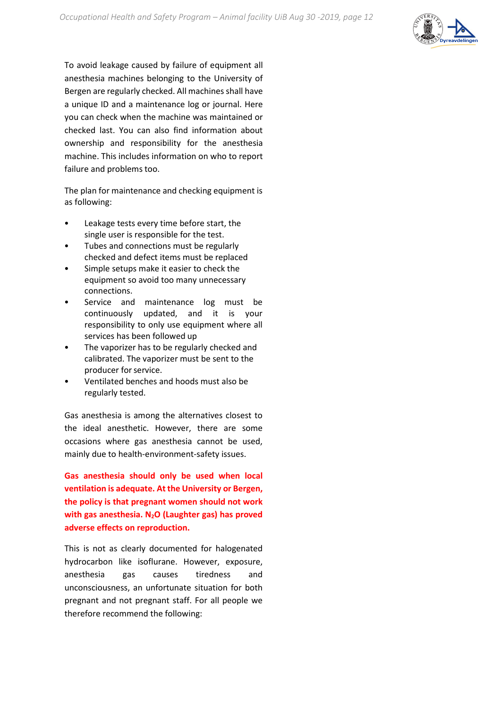

To avoid leakage caused by failure of equipment all anesthesia machines belonging to the University of Bergen are regularly checked. All machines shall have a unique ID and a maintenance log or journal. Here you can check when the machine was maintained or checked last. You can also find information about ownership and responsibility for the anesthesia machine. This includes information on who to report failure and problems too.

The plan for maintenance and checking equipment is as following:

- Leakage tests every time before start, the single user is responsible for the test.
- Tubes and connections must be regularly checked and defect items must be replaced
- Simple setups make it easier to check the equipment so avoid too many unnecessary connections.
- Service and maintenance log must be continuously updated, and it is your responsibility to only use equipment where all services has been followed up
- The vaporizer has to be regularly checked and calibrated. The vaporizer must be sent to the producer forservice.
- Ventilated benches and hoods must also be regularly tested.

Gas anesthesia is among the alternatives closest to the ideal anesthetic. However, there are some occasions where gas anesthesia cannot be used, mainly due to health-environment-safety issues.

**Gas anesthesia should only be used when local ventilation is adequate. At the University or Bergen, the policy is that pregnant women should not work**  with gas anesthesia. N<sub>2</sub>O (Laughter gas) has proved **adverse effects on reproduction.** 

This is not as clearly documented for halogenated hydrocarbon like isoflurane. However, exposure, anesthesia gas causes tiredness and unconsciousness, an unfortunate situation for both pregnant and not pregnant staff. For all people we therefore recommend the following: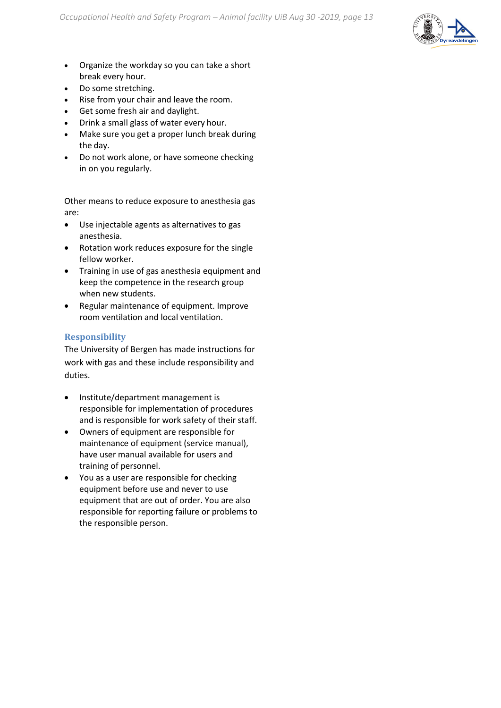

- Organize the workday so you can take a short break every hour.
- Do some stretching.
- Rise from your chair and leave the room.
- Get some fresh air and daylight.
- Drink a small glass of water every hour.
- Make sure you get a proper lunch break during the day.
- Do not work alone, or have someone checking in on you regularly.

Other means to reduce exposure to anesthesia gas are:

- Use injectable agents as alternatives to gas anesthesia.
- Rotation work reduces exposure for the single fellow worker.
- Training in use of gas anesthesia equipment and keep the competence in the research group when new students.
- Regular maintenance of equipment. Improve room ventilation and local ventilation.

#### **Responsibility**

The University of Bergen has made instructions for work with gas and these include responsibility and duties.

- Institute/department management is responsible for implementation of procedures and is responsible for work safety of their staff.
- Owners of equipment are responsible for maintenance of equipment (service manual), have user manual available for users and training of personnel.
- You as a user are responsible for checking equipment before use and never to use equipment that are out of order. You are also responsible for reporting failure or problems to the responsible person.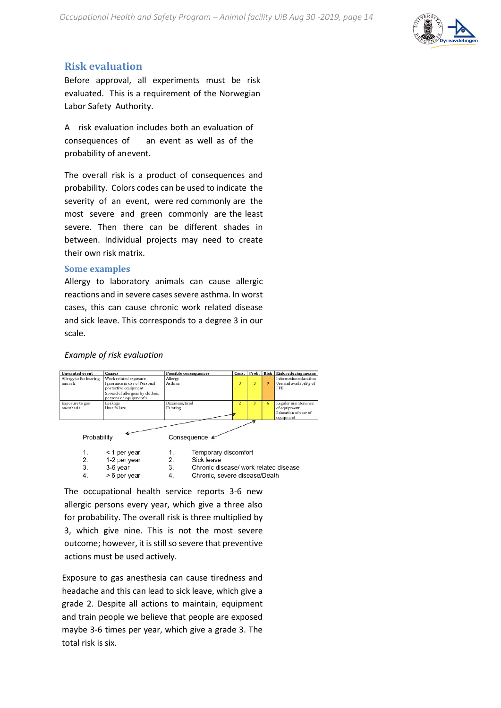

### **Risk evaluation**

Before approval, all experiments must be risk evaluated. This is a requirement of the Norwegian Labor Safety Authority.

A risk evaluation includes both an evaluation of consequences of an event as well as of the probability of anevent.

The overall risk is a product of consequences and probability. Colors codes can be used to indicate the severity of an event, were red commonly are the most severe and green commonly are the least severe. Then there can be different shades in between. Individual projects may need to create their own risk matrix.

#### **Some examples**

Allergy to laboratory animals can cause allergic reactions and in severe cases severe asthma. In worst cases, this can cause chronic work related disease and sick leave. This corresponds to a degree 3 in our scale.

#### *Example of risk evaluation*

| <b>Unwanted</b> event             | Causes                                                                                                                                     | <b>Possible consequences</b> | Cons. |   |    | Prob. Risk Risk reducing means                                           |
|-----------------------------------|--------------------------------------------------------------------------------------------------------------------------------------------|------------------------------|-------|---|----|--------------------------------------------------------------------------|
| Allergy to fur bearing<br>animals | Work related exposure<br>Ignorance in use of Personal<br>protective equipment<br>Spread of allergens by clothes,<br>persons or equipment's | Allergy<br>Asthma            | 3     | 3 | 9  | Information education<br>Use and availability of<br><b>PPE</b>           |
| Exposure to gas<br>anesthesia     | Leakage<br>User failure                                                                                                                    | Dizziness, tired<br>Fainting |       | 3 | 6. | Regular maintenance<br>of equipment<br>Education of user of<br>equipment |
| Probability                       |                                                                                                                                            | Consequence                  |       |   |    |                                                                          |

|    | $<$ 1 per year |    | Temporary discomfort                  |
|----|----------------|----|---------------------------------------|
|    | 1-2 per year   |    | Sick leave                            |
|    | 3-6 year       | 3. | Chronic disease/ work related disease |
| 4. | > 6 per year   | 4. | Chronic, severe disease/Death         |

The occupational health service reports 3-6 new allergic persons every year, which give a three also for probability. The overall risk is three multiplied by 3, which give nine. This is not the most severe outcome; however, it is still so severe that preventive actions must be used actively.

Exposure to gas anesthesia can cause tiredness and headache and this can lead to sick leave, which give a grade 2. Despite all actions to maintain, equipment and train people we believe that people are exposed maybe 3-6 times per year, which give a grade 3. The total risk is six.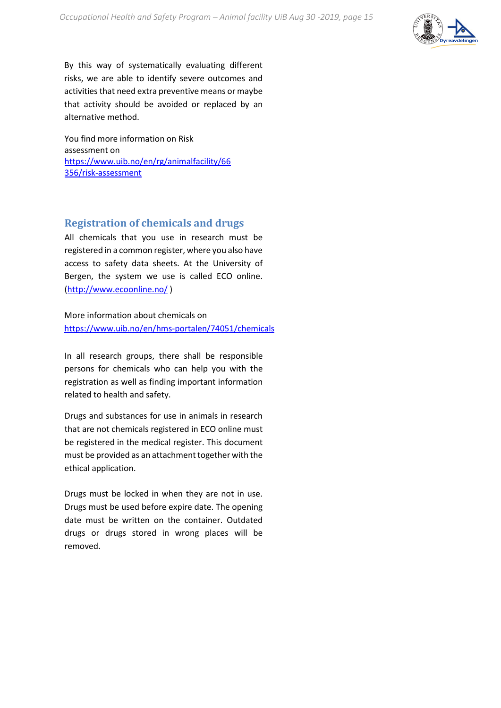

By this way of systematically evaluating different risks, we are able to identify severe outcomes and activities that need extra preventive means or maybe that activity should be avoided or replaced by an alternative method.

You find more information on Risk assessment on [https://www.uib.no/en/rg/animalfacility/66](https://www.uib.no/en/rg/animalfacility/66356/risk-assessment) [356/risk-assessment](https://www.uib.no/en/rg/animalfacility/66356/risk-assessment)

### **Registration of chemicals and drugs**

All chemicals that you use in research must be registered in a common register, where you also have access to safety data sheets. At the University of Bergen, the system we use is called ECO online. [\(http://www.ecoonline.no/](http://www.ecoonline.no/) )

More information about chemicals on <https://www.uib.no/en/hms-portalen/74051/chemicals>

In all research groups, there shall be responsible persons for chemicals who can help you with the registration as well as finding important information related to health and safety.

Drugs and substances for use in animals in research that are not chemicals registered in ECO online must be registered in the medical register. This document must be provided as an attachment together with the ethical application.

Drugs must be locked in when they are not in use. Drugs must be used before expire date. The opening date must be written on the container. Outdated drugs or drugs stored in wrong places will be removed.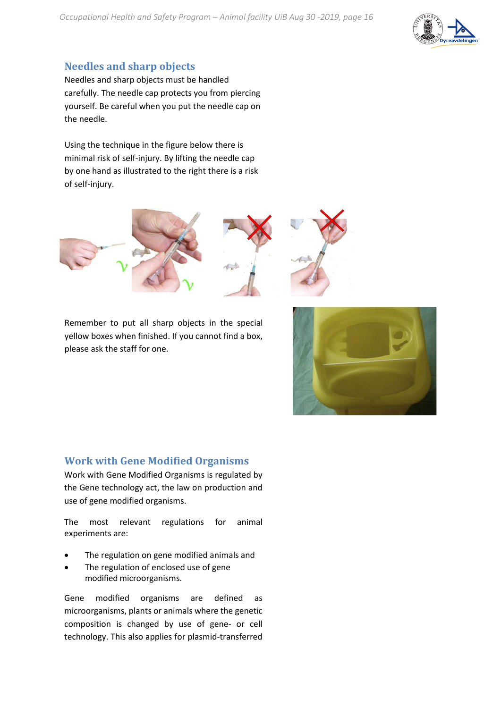

### **Needles and sharp objects**

Needles and sharp objects must be handled carefully. The needle cap protects you from piercing yourself. Be careful when you put the needle cap on the needle.

Using the technique in the figure below there is minimal risk of self-injury. By lifting the needle cap by one hand as illustrated to the right there is a risk of self-injury.





Remember to put all sharp objects in the special yellow boxes when finished. If you cannot find a box, please ask the staff for one.



### **Work with Gene Modified Organisms**

Work with Gene Modified Organisms is regulated by the Gene technology act, the law on production and use of gene modified organisms.

The most relevant regulations for animal experiments are:

- The regulation on gene modified animals and
- The regulation of enclosed use of gene modified microorganisms.

Gene modified organisms are defined as microorganisms, plants or animals where the genetic composition is changed by use of gene- or cell technology. This also applies for plasmid-transferred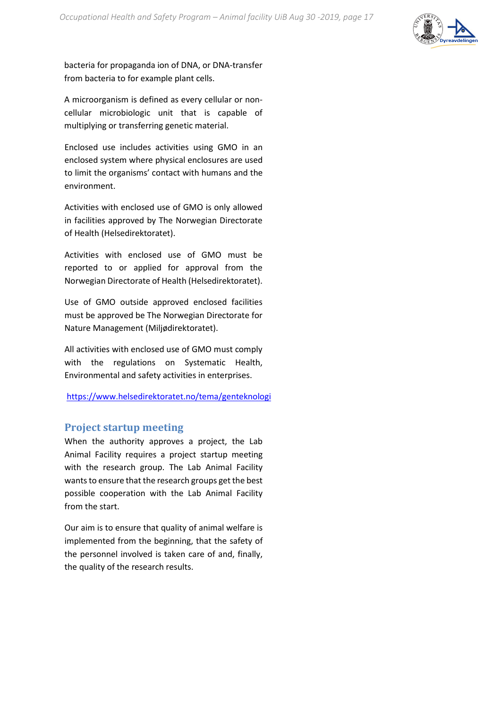

bacteria for propaganda ion of DNA, or DNA-transfer from bacteria to for example plant cells.

A microorganism is defined as every cellular or noncellular microbiologic unit that is capable of multiplying or transferring genetic material.

Enclosed use includes activities using GMO in an enclosed system where physical enclosures are used to limit the organisms' contact with humans and the environment.

Activities with enclosed use of GMO is only allowed in facilities approved by The Norwegian Directorate of Health (Helsedirektoratet).

Activities with enclosed use of GMO must be reported to or applied for approval from the Norwegian Directorate of Health (Helsedirektoratet).

Use of GMO outside approved enclosed facilities must be approved be The Norwegian Directorate for Nature Management (Miljødirektoratet).

All activities with enclosed use of GMO must comply with the regulations on Systematic Health, Environmental and safety activities in enterprises.

<https://www.helsedirektoratet.no/tema/genteknologi>

### **Project startup meeting**

When the authority approves a project, the Lab Animal Facility requires a project startup meeting with the research group. The Lab Animal Facility wants to ensure that the research groups get the best possible cooperation with the Lab Animal Facility from the start.

Our aim is to ensure that quality of animal welfare is implemented from the beginning, that the safety of the personnel involved is taken care of and, finally, the quality of the research results.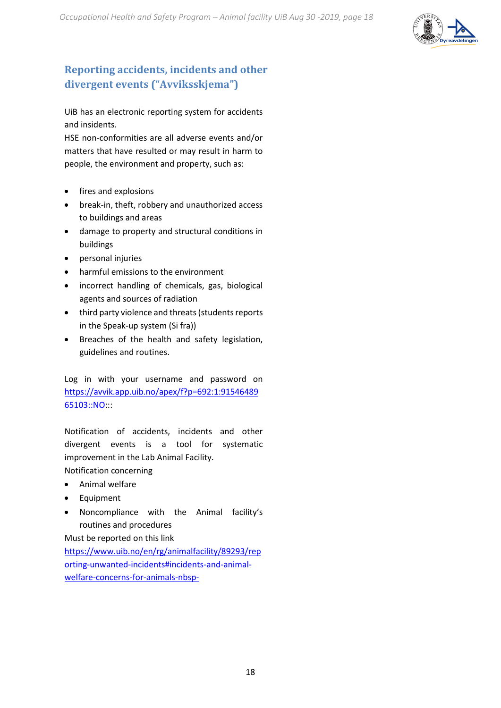

# **Reporting accidents, incidents and other divergent events ("Avviksskjema")**

UiB has an electronic reporting system for accidents and insidents.

HSE non-conformities are all adverse events and/or matters that have resulted or may result in harm to people, the environment and property, such as:

- fires and explosions
- break-in, theft, robbery and unauthorized access to buildings and areas
- damage to property and structural conditions in buildings
- personal injuries
- harmful emissions to the environment
- incorrect handling of chemicals, gas, biological agents and sources of radiation
- third party violence and threats (students reports in the Speak-up system (Si fra))
- Breaches of the health and safety legislation, guidelines and routines.

Log in with your username and password on [https://avvik.app.uib.no/apex/f?p=692:1:91546489](https://avvik.app.uib.no/apex/f?p=692:1:9154648965103::NO) [65103::NO:](https://avvik.app.uib.no/apex/f?p=692:1:9154648965103::NO)::

Notification of accidents, incidents and other divergent events is a tool for systematic improvement in the Lab Animal Facility.

Notification concerning

- Animal welfare
- Equipment
- Noncompliance with the Animal facility's routines and procedures

Must be reported on this link

[https://www.uib.no/en/rg/animalfacility/89293/rep](https://www.uib.no/en/rg/animalfacility/89293/reporting-unwanted-incidents#incidents-and-animal-welfare-concerns-for-animals-nbsp-) [orting-unwanted-incidents#incidents-and-animal](https://www.uib.no/en/rg/animalfacility/89293/reporting-unwanted-incidents#incidents-and-animal-welfare-concerns-for-animals-nbsp-)[welfare-concerns-for-animals-nbsp-](https://www.uib.no/en/rg/animalfacility/89293/reporting-unwanted-incidents#incidents-and-animal-welfare-concerns-for-animals-nbsp-)